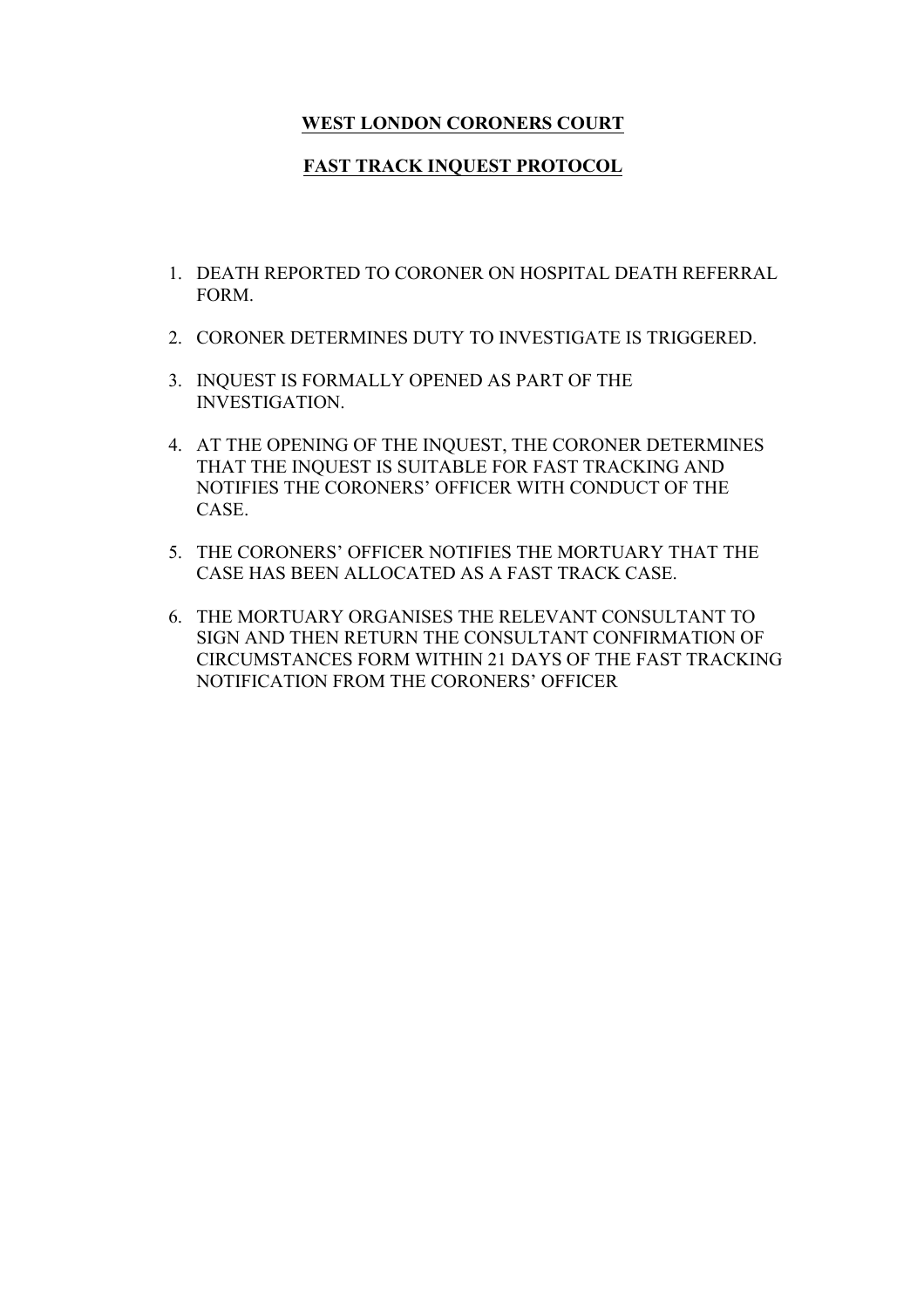## **WEST LONDON CORONERS COURT**

## **FAST TRACK INQUEST PROTOCOL**

- 1. DEATH REPORTED TO CORONER ON HOSPITAL DEATH REFERRAL FORM.
- 2. CORONER DETERMINES DUTY TO INVESTIGATE IS TRIGGERED.
- 3. INQUEST IS FORMALLY OPENED AS PART OF THE INVESTIGATION.
- 4. AT THE OPENING OF THE INQUEST, THE CORONER DETERMINES THAT THE INQUEST IS SUITABLE FOR FAST TRACKING AND NOTIFIES THE CORONERS' OFFICER WITH CONDUCT OF THE CASE.
- 5. THE CORONERS' OFFICER NOTIFIES THE MORTUARY THAT THE CASE HAS BEEN ALLOCATED AS A FAST TRACK CASE.
- 6. THE MORTUARY ORGANISES THE RELEVANT CONSULTANT TO SIGN AND THEN RETURN THE CONSULTANT CONFIRMATION OF CIRCUMSTANCES FORM WITHIN 21 DAYS OF THE FAST TRACKING NOTIFICATION FROM THE CORONERS' OFFICER